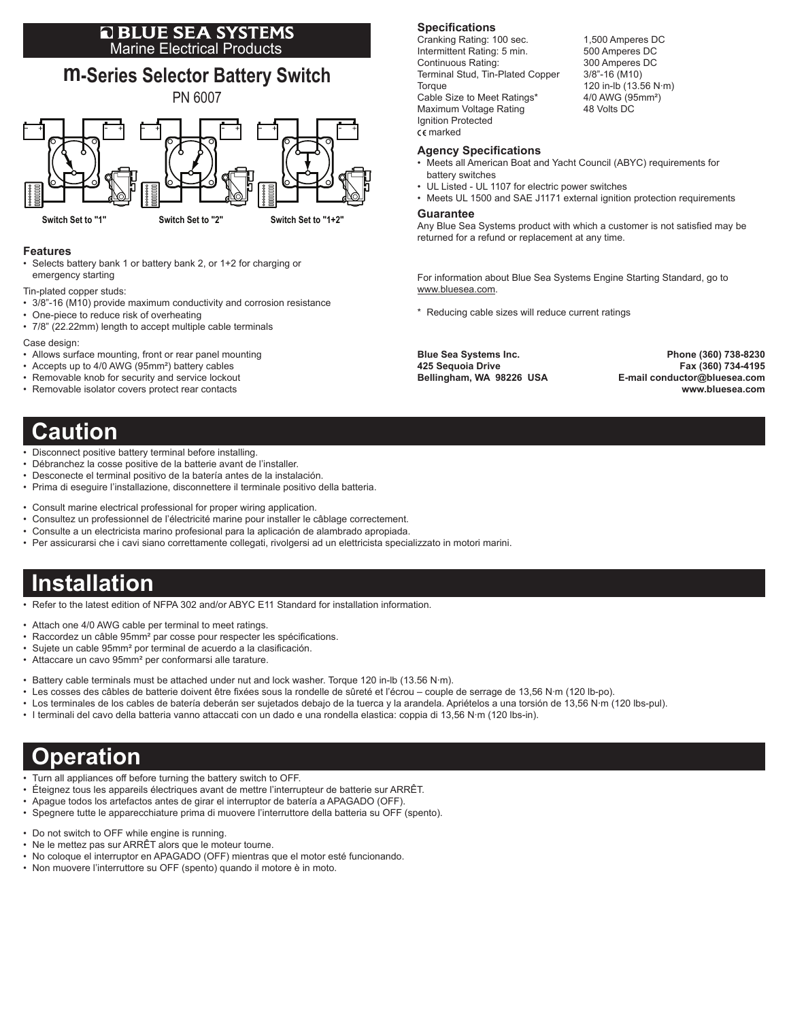# **E BLUE SEA SYSTEMS**<br>Marine Electrical Products



### **Features**

- • Selects battery bank 1 or battery bank 2, or 1+2 for charging or emergency starting
- Tin-plated copper studs:
- 3/8"-16 (M10) provide maximum conductivity and corrosion resistance
- One-piece to reduce risk of overheating
- 7/8" (22.22mm) length to accept multiple cable terminals

Case design:

- Allows surface mounting, front or rear panel mounting
- Accepts up to 4/0 AWG (95mm<sup>2</sup>) battery cables
- Removable knob for security and service lockout
- Removable isolator covers protect rear contacts

### **Caution**

- Disconnect positive battery terminal before installing.
- • Débranchez la cosse positive de la batterie avant de l'installer.
- Desconecte el terminal positivo de la batería antes de la instalación.
- • Prima di eseguire l'installazione, disconnettere il terminale positivo della batteria.
- • Consult marine electrical professional for proper wiring application.
- • Consultez un professionnel de l'électricité marine pour installer le câblage correctement.
- • Consulte a un electricista marino profesional para la aplicación de alambrado apropiada.
- • Per assicurarsi che i cavi siano correttamente collegati, rivolgersi ad un elettricista specializzato in motori marini.

# **Installation**

• Refer to the latest edition of NFPA 302 and/or ABYC E11 Standard for installation information.

- Attach one 4/0 AWG cable per terminal to meet ratings.
- Raccordez un câble 95mm<sup>2</sup> par cosse pour respecter les spécifications.
- • Sujete un cable 95mm² por terminal de acuerdo a la clasificación.
- • Attaccare un cavo 95mm² per conformarsi alle tarature.
- Battery cable terminals must be attached under nut and lock washer. Torque 120 in-lb (13.56 N·m).
- • Les cosses des câbles de batterie doivent être fixées sous la rondelle de sûreté et l'écrou couple de serrage de 13,56 N·m (120 lb-po).
- • Los terminales de los cables de batería deberán ser sujetados debajo de la tuerca y la arandela. Apriételos a una torsión de 13,56 N·m (120 lbs-pul).
- • I terminali del cavo della batteria vanno attaccati con un dado e una rondella elastica: coppia di 13,56 N·m (120 lbs-in).

# **Operation**

- Turn all appliances off before turning the battery switch to OFF.
- • Éteignez tous les appareils électriques avant de mettre l'interrupteur de batterie sur ARRÊT.
- • Apague todos los artefactos antes de girar el interruptor de batería a APAGADO (OFF).
- • Spegnere tutte le apparecchiature prima di muovere l'interruttore della batteria su OFF (spento).
- Do not switch to OFF while engine is running.
- • Ne le mettez pas sur ARRÊT alors que le moteur tourne.
- • No coloque el interruptor en APAGADO (OFF) mientras que el motor esté funcionando.
- • Non muovere l'interruttore su OFF (spento) quando il motore è in moto.

#### **Specifications**

Cranking Rating: 100 sec. 1,500 Amperes DC Intermittent Rating: 5 min. 500 Amperes DC Continuous Rating: 300 Amperes DC Terminal Stud, Tin-Plated Copper 3/8"-16 (M10) Torque 120 in-lb (13.56 N·m) Cable Size to Meet Ratings\* 4/0 AWG (95mm<sup>2</sup>) Maximum Voltage Rating **48 Volts DC** Ignition Protected marked

#### **Agency Specifications**

- • Meets all American Boat and Yacht Council (ABYC) requirements for battery switches
- UL Listed UL 1107 for electric power switches
- Meets UL 1500 and SAE J1171 external ignition protection requirements

#### **Guarantee**

Any Blue Sea Systems product with which a customer is not satisfied may be returned for a refund or replacement at any time.

For information about Blue Sea Systems Engine Starting Standard, go to www.bluesea.com.

\* Reducing cable sizes will reduce current ratings

**Blue Sea Systems Inc. Phone (360) 738-8230 425 Sequoia Drive Fax (360) 734-4195 Bellingham, WA 98226 USA E-mail conductor@bluesea.com www.bluesea.com**